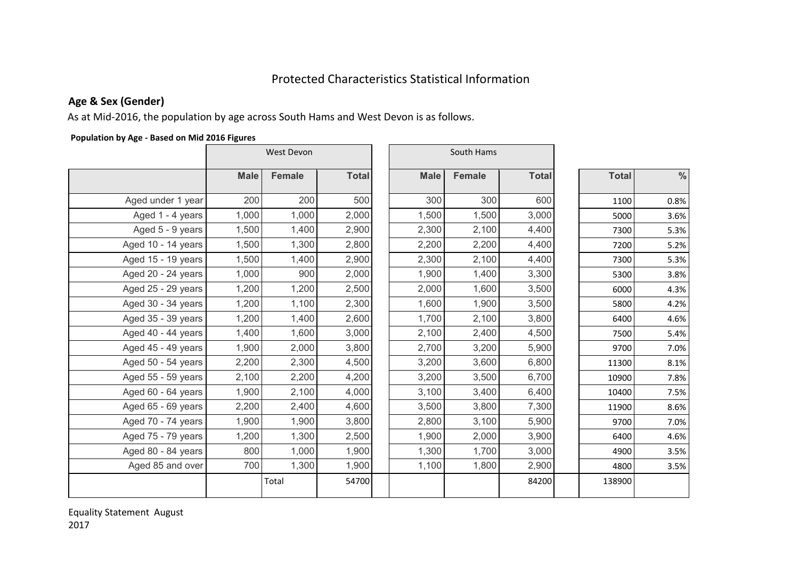# Protected Characteristics Statistical Information

## **Age & Sex (Gender)**

As at Mid-2016, the population by age across South Hams and West Devon is as follows.

#### **Population by Age - Based on Mid 2016 Figures**

|                    | West Devon  |               |              | South Hams  |               |              |  |              |      |
|--------------------|-------------|---------------|--------------|-------------|---------------|--------------|--|--------------|------|
|                    | <b>Male</b> | <b>Female</b> | <b>Total</b> | <b>Male</b> | <b>Female</b> | <b>Total</b> |  | <b>Total</b> | $\%$ |
| Aged under 1 year  | 200         | 200           | 500          | 300         | 300           | 600          |  | 1100         | 0.8% |
| Aged 1 - 4 years   | 1,000       | 1,000         | 2,000        | 1,500       | 1,500         | 3,000        |  | 5000         | 3.6% |
| Aged 5 - 9 years   | 1,500       | 1,400         | 2,900        | 2,300       | 2,100         | 4,400        |  | 7300         | 5.3% |
| Aged 10 - 14 years | 1,500       | 1,300         | 2,800        | 2,200       | 2,200         | 4,400        |  | 7200         | 5.2% |
| Aged 15 - 19 years | 1,500       | 1,400         | 2,900        | 2,300       | 2,100         | 4,400        |  | 7300         | 5.3% |
| Aged 20 - 24 years | 1,000       | 900           | 2,000        | 1,900       | 1,400         | 3,300        |  | 5300         | 3.8% |
| Aged 25 - 29 years | 1,200       | 1,200         | 2,500        | 2,000       | 1,600         | 3,500        |  | 6000         | 4.3% |
| Aged 30 - 34 years | 1,200       | 1,100         | 2,300        | 1,600       | 1,900         | 3,500        |  | 5800         | 4.2% |
| Aged 35 - 39 years | 1,200       | 1,400         | 2,600        | 1,700       | 2,100         | 3,800        |  | 6400         | 4.6% |
| Aged 40 - 44 years | 1,400       | 1,600         | 3,000        | 2,100       | 2,400         | 4,500        |  | 7500         | 5.4% |
| Aged 45 - 49 years | 1,900       | 2,000         | 3,800        | 2,700       | 3,200         | 5,900        |  | 9700         | 7.0% |
| Aged 50 - 54 years | 2,200       | 2,300         | 4,500        | 3,200       | 3,600         | 6,800        |  | 11300        | 8.1% |
| Aged 55 - 59 years | 2,100       | 2,200         | 4,200        | 3,200       | 3,500         | 6,700        |  | 10900        | 7.8% |
| Aged 60 - 64 years | 1,900       | 2,100         | 4,000        | 3,100       | 3,400         | 6,400        |  | 10400        | 7.5% |
| Aged 65 - 69 years | 2,200       | 2,400         | 4,600        | 3,500       | 3,800         | 7,300        |  | 11900        | 8.6% |
| Aged 70 - 74 years | 1,900       | 1,900         | 3,800        | 2,800       | 3,100         | 5,900        |  | 9700         | 7.0% |
| Aged 75 - 79 years | 1,200       | 1,300         | 2,500        | 1,900       | 2,000         | 3,900        |  | 6400         | 4.6% |
| Aged 80 - 84 years | 800         | 1,000         | 1,900        | 1,300       | 1,700         | 3,000        |  | 4900         | 3.5% |
| Aged 85 and over   | 700         | 1,300         | 1,900        | 1,100       | 1,800         | 2,900        |  | 4800         | 3.5% |
|                    |             | Total         | 54700        |             |               | 84200        |  | 138900       |      |

Equality Statement August 2017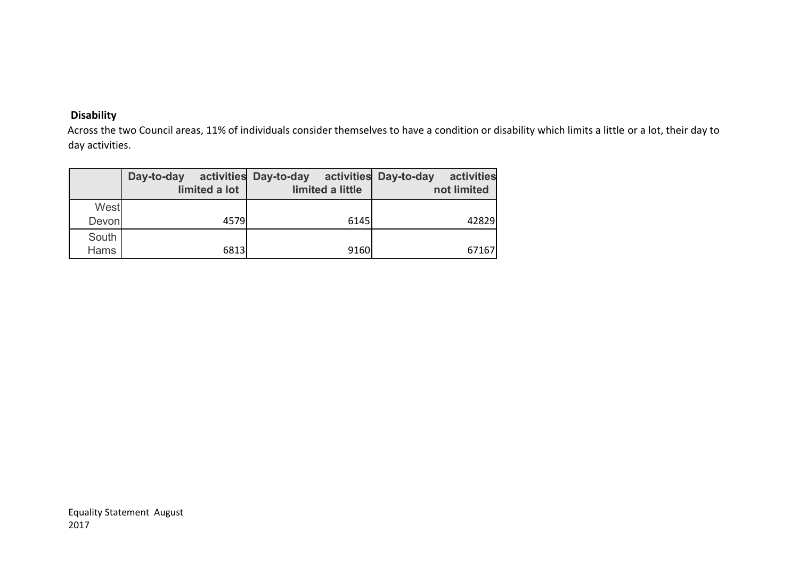### **Disability**

Across the two Council areas, 11% of individuals consider themselves to have a condition or disability which limits a little or a lot, their day to day activities.

|       | Day-to-day<br>limited a lot | activities Day-to-day<br>limited a little | activities Day-to-day<br>activities<br>not limited |
|-------|-----------------------------|-------------------------------------------|----------------------------------------------------|
| West  |                             |                                           |                                                    |
| Devon | 4579                        | 6145                                      | 42829                                              |
| South |                             |                                           |                                                    |
| Hams  | 6813                        | 9160                                      | 67167                                              |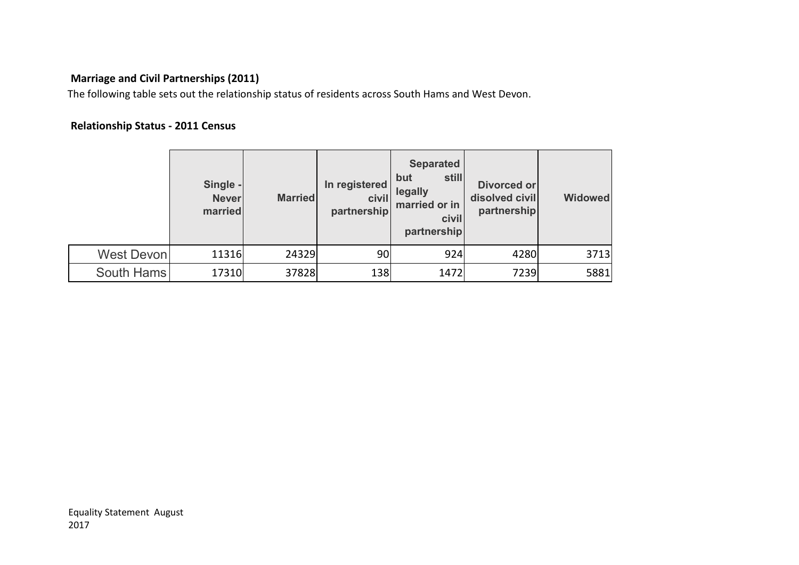## **Marriage and Civil Partnerships (2011)**

The following table sets out the relationship status of residents across South Hams and West Devon.

## **Relationship Status - 2011 Census**

|                   | Single -<br><b>Never</b><br>married | <b>Married</b> | In registered<br>civil<br>partnership | <b>Separated</b><br>still<br>but<br>legally<br>married or in<br>civil<br>partnership | Divorced or<br>disolved civil<br>partnership | <b>Widowed</b> |
|-------------------|-------------------------------------|----------------|---------------------------------------|--------------------------------------------------------------------------------------|----------------------------------------------|----------------|
| <b>West Devon</b> | 11316                               | 24329          | 90                                    | 924                                                                                  | 4280                                         | 3713           |
| South Hams        | 17310                               | 37828          | 138                                   | 1472                                                                                 | 7239                                         | 5881           |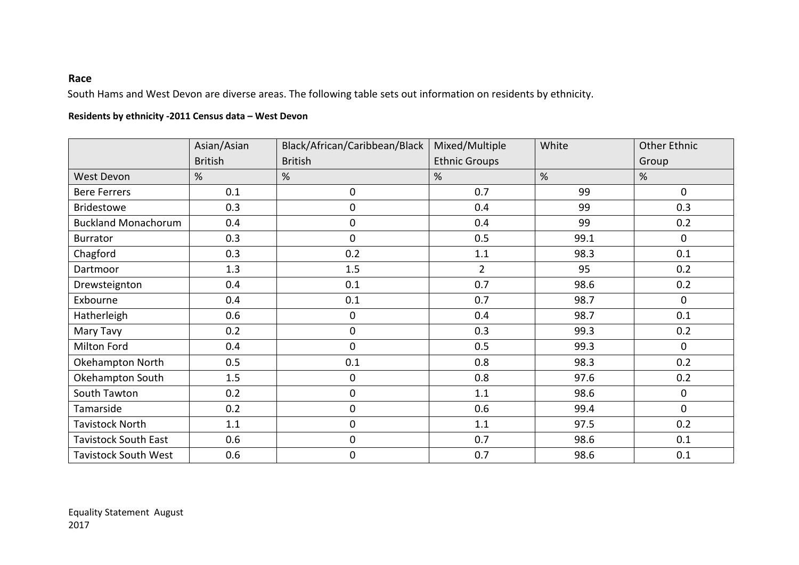#### **Race**

South Hams and West Devon are diverse areas. The following table sets out information on residents by ethnicity.

#### **Residents by ethnicity -2011 Census data – West Devon**

|                             | Asian/Asian    | Black/African/Caribbean/Black | Mixed/Multiple       | White | <b>Other Ethnic</b> |  |
|-----------------------------|----------------|-------------------------------|----------------------|-------|---------------------|--|
|                             | <b>British</b> | <b>British</b>                | <b>Ethnic Groups</b> |       | Group               |  |
| <b>West Devon</b>           | %              | %                             | %                    | %     | %                   |  |
| <b>Bere Ferrers</b>         | 0.1            | 0                             | 0.7                  | 99    | $\mathbf 0$         |  |
| <b>Bridestowe</b>           | 0.3            | 0                             | 0.4                  | 99    | 0.3                 |  |
| <b>Buckland Monachorum</b>  | 0.4            | 0                             | 0.4                  | 99    | 0.2                 |  |
| <b>Burrator</b>             | 0.3            | $\mathbf 0$                   | 0.5                  | 99.1  | 0                   |  |
| Chagford                    | 0.3            | 0.2                           | 1.1                  | 98.3  | 0.1                 |  |
| Dartmoor                    | 1.3            | 1.5                           | $\overline{2}$       | 95    | 0.2                 |  |
| Drewsteignton               | 0.4            | 0.1                           | 0.7                  | 98.6  | 0.2                 |  |
| Exbourne                    | 0.4            | 0.1                           | 0.7                  | 98.7  | $\mathbf 0$         |  |
| Hatherleigh                 | 0.6            | 0                             | 0.4                  | 98.7  | 0.1                 |  |
| Mary Tavy                   | 0.2            | 0                             | 0.3                  | 99.3  | 0.2                 |  |
| Milton Ford                 | 0.4            | 0                             | 0.5                  | 99.3  | $\mathbf 0$         |  |
| Okehampton North            | 0.5            | 0.1                           | 0.8                  | 98.3  | 0.2                 |  |
| Okehampton South            | 1.5            | 0                             | 0.8                  | 97.6  | 0.2                 |  |
| South Tawton                | 0.2            | 0                             | 1.1                  | 98.6  | 0                   |  |
| Tamarside                   | 0.2            | 0                             | 0.6                  | 99.4  | $\mathbf 0$         |  |
| <b>Tavistock North</b>      | 1.1            | 0                             | 1.1                  | 97.5  | 0.2                 |  |
| <b>Tavistock South East</b> | 0.6            | $\pmb{0}$                     | 0.7                  | 98.6  | 0.1                 |  |
| <b>Tavistock South West</b> | 0.6            | 0                             | 0.7                  | 98.6  | 0.1                 |  |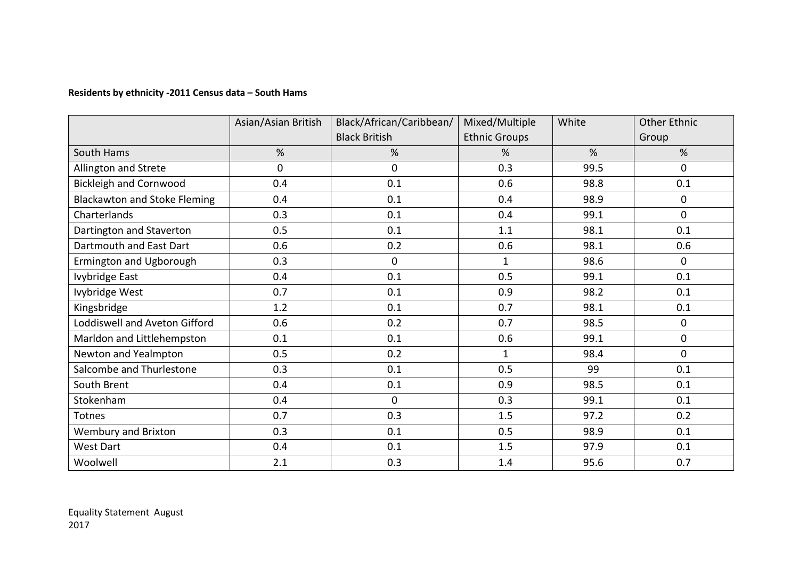#### **Residents by ethnicity -2011 Census data – South Hams**

|                                     | Black/African/Caribbean/<br>Asian/Asian British |                      | Mixed/Multiple       | White | <b>Other Ethnic</b> |  |
|-------------------------------------|-------------------------------------------------|----------------------|----------------------|-------|---------------------|--|
|                                     |                                                 | <b>Black British</b> | <b>Ethnic Groups</b> |       | Group               |  |
| South Hams                          | %                                               | %                    | %                    | %     | %                   |  |
| Allington and Strete                | 0                                               | $\mathbf 0$          | 0.3                  | 99.5  | 0                   |  |
| <b>Bickleigh and Cornwood</b>       | 0.4                                             | 0.1                  | 0.6                  | 98.8  | 0.1                 |  |
| <b>Blackawton and Stoke Fleming</b> | 0.4                                             | 0.1                  | 0.4                  | 98.9  | 0                   |  |
| Charterlands                        | 0.3                                             | 0.1                  | 0.4                  | 99.1  | $\mathbf 0$         |  |
| Dartington and Staverton            | 0.5                                             | 0.1                  | 1.1                  | 98.1  | 0.1                 |  |
| Dartmouth and East Dart             | 0.6                                             | 0.2                  | 0.6                  | 98.1  | 0.6                 |  |
| Ermington and Ugborough             | 0.3                                             | $\mathbf 0$          | $\mathbf{1}$         | 98.6  | $\overline{0}$      |  |
| Ivybridge East                      | 0.4                                             | 0.1                  | 0.5                  | 99.1  | 0.1                 |  |
| Ivybridge West                      | 0.7                                             | 0.1                  | 0.9                  | 98.2  | 0.1                 |  |
| Kingsbridge                         | 1.2                                             | 0.1                  | 0.7                  | 98.1  | 0.1                 |  |
| Loddiswell and Aveton Gifford       | 0.6                                             | 0.2                  | 0.7                  | 98.5  | 0                   |  |
| Marldon and Littlehempston          | 0.1                                             | 0.1                  | 0.6                  | 99.1  | 0                   |  |
| Newton and Yealmpton                | 0.5                                             | 0.2                  | $\mathbf{1}$         | 98.4  | $\mathbf 0$         |  |
| Salcombe and Thurlestone            | 0.3                                             | 0.1                  | 0.5                  | 99    | 0.1                 |  |
| South Brent                         | 0.4                                             | 0.1                  | 0.9                  | 98.5  | 0.1                 |  |
| Stokenham                           | 0.4                                             | $\mathbf{0}$         | 0.3                  | 99.1  | 0.1                 |  |
| Totnes                              | 0.7                                             | 0.3                  | 1.5                  | 97.2  | 0.2                 |  |
| Wembury and Brixton                 | 0.3                                             | 0.1                  | 0.5                  | 98.9  | 0.1                 |  |
| <b>West Dart</b>                    | 0.4                                             | 0.1                  | 1.5                  | 97.9  | 0.1                 |  |
| Woolwell                            | 2.1                                             | 0.3                  | 1.4                  | 95.6  | 0.7                 |  |